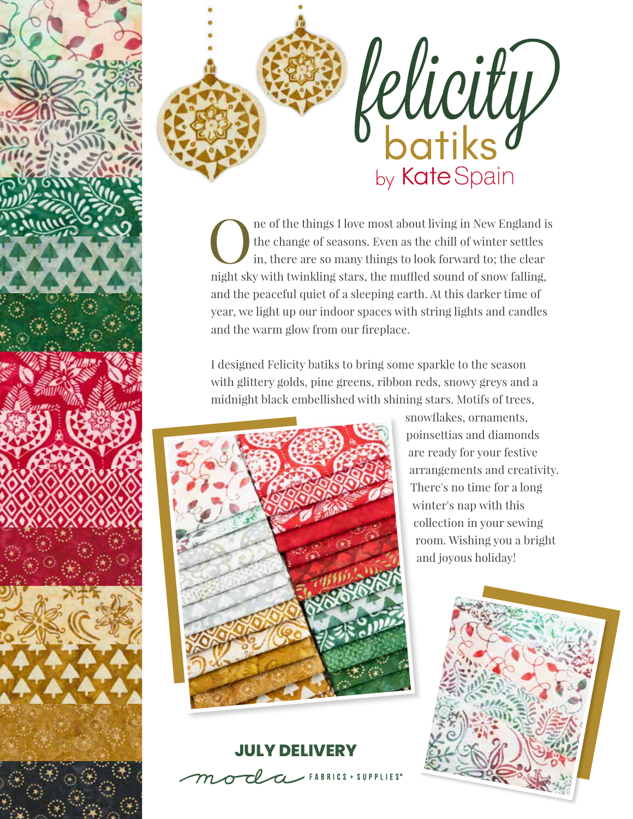



ne of the things I love most about living in New England is the change of seasons. Even as the chill of winter settles in, there are so many things to look forward to; the clear night sky with twinkling stars, the muffled sound of snow falling, and the peaceful quiet of a sleeping earth. At this darker time of year, we light up our indoor spaces with string lights and candles and the warm glow from our fireplace.

I designed Felicity batiks to bring some sparkle to the season with glittery golds, pine greens, ribbon reds, snowy greys and a midnight black embellished with shining stars. Motifs of trees,



### **JULY DELIVERY**

 $\mathcal{L}$  FABRICS + SUPPLIES<sup>®</sup>

snowflakes, ornaments, poinsettias and diamonds are ready for your festive arrangements and creativity. There's no time for a long winter's nap with this collection in your sewing room. Wishing you a bright and joyous holiday!

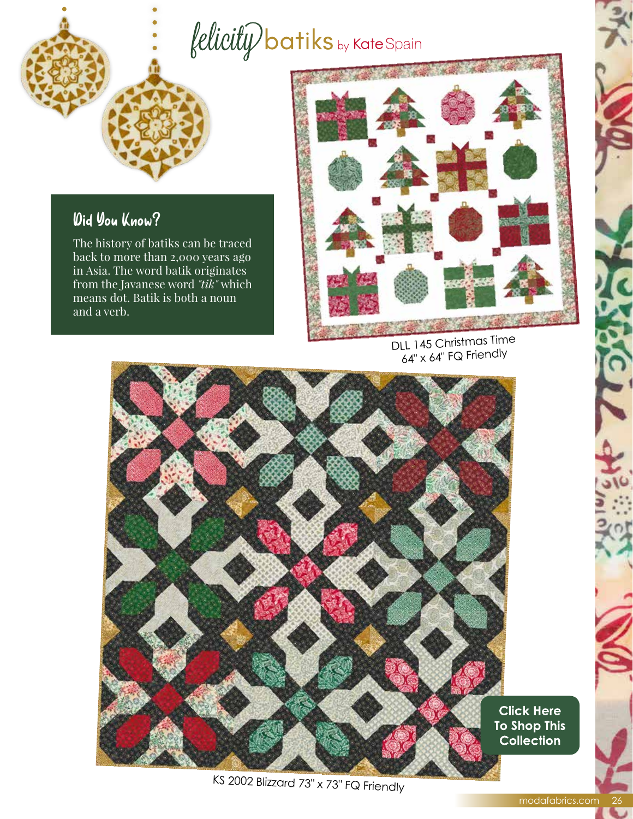## $\textit{felicity}$  batiks by Kate Spain

#### Did You Know?

The history of batiks can be traced back to more than 2,000 years ago in Asia. The word batik originates from the Javanese word *"tik"* which means dot. Batik is both a noun and a verb.



DLL 145 Christmas Time 64" x 64" FQ Friendly



KS 2002 Blizzard 73" x 73" FQ Friendly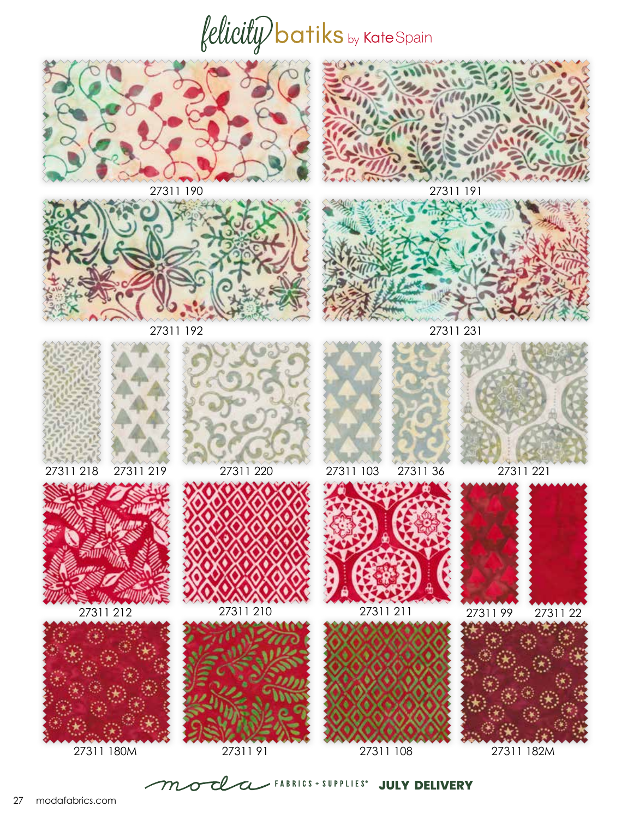# $\textit{felicity}$  batiks by Kate Spain







27311 19027311 191

27311 19227311 231